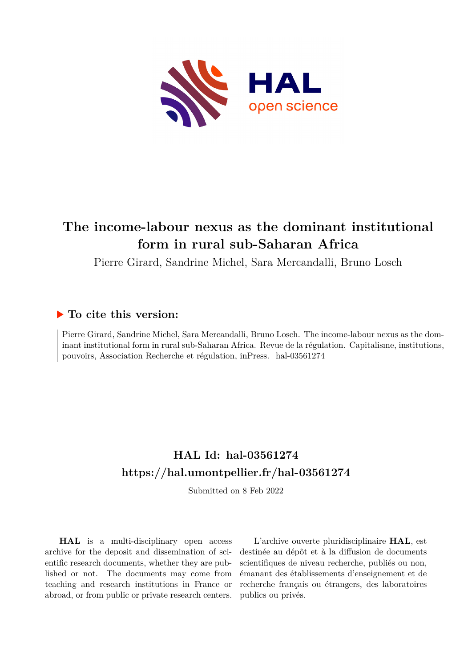

# **The income-labour nexus as the dominant institutional form in rural sub-Saharan Africa**

Pierre Girard, Sandrine Michel, Sara Mercandalli, Bruno Losch

#### **To cite this version:**

Pierre Girard, Sandrine Michel, Sara Mercandalli, Bruno Losch. The income-labour nexus as the dominant institutional form in rural sub-Saharan Africa. Revue de la régulation. Capitalisme, institutions, pouvoirs, Association Recherche et régulation, inPress. hal-03561274

## **HAL Id: hal-03561274 <https://hal.umontpellier.fr/hal-03561274>**

Submitted on 8 Feb 2022

**HAL** is a multi-disciplinary open access archive for the deposit and dissemination of scientific research documents, whether they are published or not. The documents may come from teaching and research institutions in France or abroad, or from public or private research centers.

L'archive ouverte pluridisciplinaire **HAL**, est destinée au dépôt et à la diffusion de documents scientifiques de niveau recherche, publiés ou non, émanant des établissements d'enseignement et de recherche français ou étrangers, des laboratoires publics ou privés.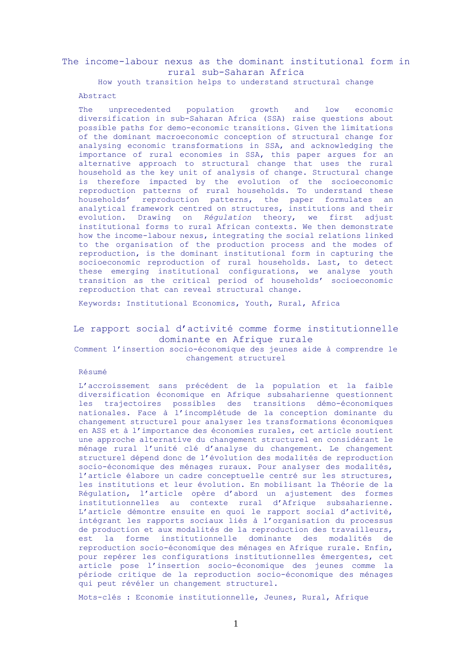#### The income-labour nexus as the dominant institutional form in rural sub-Saharan Africa

How youth transition helps to understand structural change

#### Abstract

The unprecedented population growth and low economic diversification in sub-Saharan Africa (SSA) raise questions about possible paths for demo-economic transitions. Given the limitations of the dominant macroeconomic conception of structural change for analysing economic transformations in SSA, and acknowledging the importance of rural economies in SSA, this paper argues for an alternative approach to structural change that uses the rural household as the key unit of analysis of change. Structural change is therefore impacted by the evolution of the socioeconomic reproduction patterns of rural households. To understand these households' reproduction patterns, the paper formulates an analytical framework centred on structures, institutions and their evolution. Drawing on *Régulation* theory, we first adjust institutional forms to rural African contexts. We then demonstrate how the income-labour nexus, integrating the social relations linked to the organisation of the production process and the modes of reproduction, is the dominant institutional form in capturing the socioeconomic reproduction of rural households. Last, to detect these emerging institutional configurations, we analyse youth transition as the critical period of households' socioeconomic reproduction that can reveal structural change.

Keywords: Institutional Economics, Youth, Rural, Africa

#### Le rapport social d'activité comme forme institutionnelle dominante en Afrique rurale

Comment l'insertion socio-économique des jeunes aide à comprendre le changement structurel

#### Résumé

L'accroissement sans précédent de la population et la faible diversification économique en Afrique subsaharienne questionnent les trajectoires possibles des transitions démo-économiques nationales. Face à l'incomplétude de la conception dominante du changement structurel pour analyser les transformations économiques en ASS et à l'importance des économies rurales, cet article soutient une approche alternative du changement structurel en considérant le ménage rural l'unité clé d'analyse du changement. Le changement structurel dépend donc de l'évolution des modalités de reproduction socio-économique des ménages ruraux. Pour analyser des modalités, l'article élabore un cadre conceptuelle centré sur les structures, les institutions et leur évolution. En mobilisant la Théorie de la Régulation, l'article opère d'abord un ajustement des formes institutionnelles au contexte rural d'Afrique subsaharienne. L'article démontre ensuite en quoi le rapport social d'activité, intégrant les rapports sociaux liés à l'organisation du processus de production et aux modalités de la reproduction des travailleurs, est la forme institutionnelle dominante des modalités de reproduction socio-économique des ménages en Afrique rurale. Enfin, pour repérer les configurations institutionnelles émergentes, cet article pose l'insertion socio-économique des jeunes comme la période critique de la reproduction socio-économique des ménages qui peut révéler un changement structurel.

Mots-clés : Economie institutionnelle, Jeunes, Rural, Afrique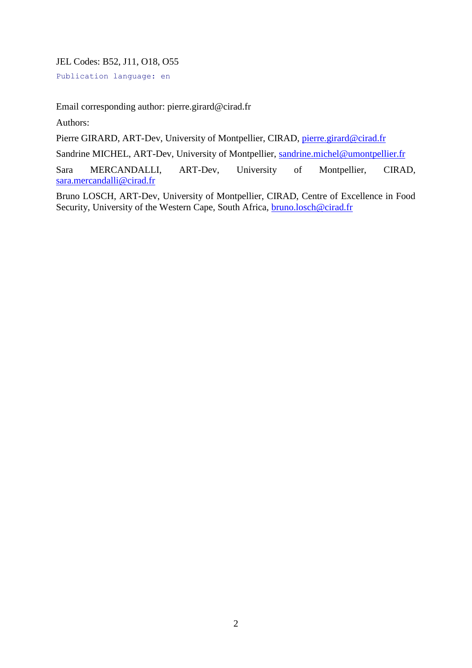JEL Codes: B52, J11, O18, O55

Publication language: en

Email corresponding author: pierre.girard@cirad.fr

Authors:

Pierre GIRARD, ART-Dev, University of Montpellier, CIRAD, pierre.girard@cirad.fr

Sandrine MICHEL, ART-Dev, University of Montpellier, [sandrine.michel@umontpellier.fr](mailto:sandrine.michel@umontpellier.fr)

Sara MERCANDALLI, ART-Dev, University of Montpellier, CIRAD, [sara.mercandalli@cirad.fr](mailto:sara.mercandalli@cirad.fr)

Bruno LOSCH, ART-Dev, University of Montpellier, CIRAD, Centre of Excellence in Food Security, University of the Western Cape, South Africa, **bruno.losch@cirad.fr**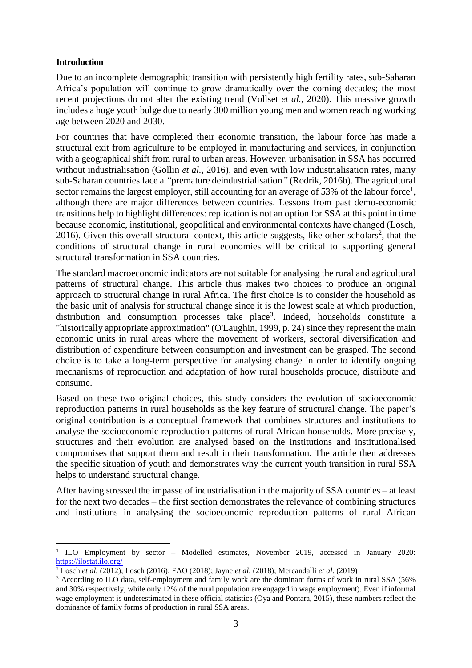#### **Introduction**

1

Due to an incomplete demographic transition with persistently high fertility rates, sub-Saharan Africa's population will continue to grow dramatically over the coming decades; the most recent projections do not alter the existing trend (Vollset *et al.*, 2020). This massive growth includes a huge youth bulge due to nearly 300 million young men and women reaching working age between 2020 and 2030.

For countries that have completed their economic transition, the labour force has made a structural exit from agriculture to be employed in manufacturing and services, in conjunction with a geographical shift from rural to urban areas. However, urbanisation in SSA has occurred without industrialisation (Gollin *et al.*, 2016), and even with low industrialisation rates, many sub-Saharan countries face a *"*premature deindustrialisation*"* (Rodrik, 2016b). The agricultural sector remains the largest employer, still accounting for an average of 53% of the labour force<sup>1</sup>, although there are major differences between countries. Lessons from past demo-economic transitions help to highlight differences: replication is not an option for SSA at this point in time because economic, institutional, geopolitical and environmental contexts have changed (Losch, 2016). Given this overall structural context, this article suggests, like other scholars<sup>2</sup>, that the conditions of structural change in rural economies will be critical to supporting general structural transformation in SSA countries.

The standard macroeconomic indicators are not suitable for analysing the rural and agricultural patterns of structural change. This article thus makes two choices to produce an original approach to structural change in rural Africa. The first choice is to consider the household as the basic unit of analysis for structural change since it is the lowest scale at which production, distribution and consumption processes take place<sup>3</sup>. Indeed, households constitute a "historically appropriate approximation" (O'Laughin, 1999, p. 24) since they represent the main economic units in rural areas where the movement of workers, sectoral diversification and distribution of expenditure between consumption and investment can be grasped. The second choice is to take a long-term perspective for analysing change in order to identify ongoing mechanisms of reproduction and adaptation of how rural households produce, distribute and consume.

Based on these two original choices, this study considers the evolution of socioeconomic reproduction patterns in rural households as the key feature of structural change. The paper's original contribution is a conceptual framework that combines structures and institutions to analyse the socioeconomic reproduction patterns of rural African households. More precisely, structures and their evolution are analysed based on the institutions and institutionalised compromises that support them and result in their transformation. The article then addresses the specific situation of youth and demonstrates why the current youth transition in rural SSA helps to understand structural change.

After having stressed the impasse of industrialisation in the majority of SSA countries – at least for the next two decades – the first section demonstrates the relevance of combining structures and institutions in analysing the socioeconomic reproduction patterns of rural African

<sup>&</sup>lt;sup>1</sup> ILO Employment by sector – Modelled estimates, November 2019, accessed in January 2020: <https://ilostat.ilo.org/>

<sup>2</sup> Losch *et al.* (2012); Losch (2016); FAO (2018); Jayne *et al.* (2018); Mercandalli *et al.* (2019)

<sup>&</sup>lt;sup>3</sup> According to ILO data, self-employment and family work are the dominant forms of work in rural SSA (56%) and 30% respectively, while only 12% of the rural population are engaged in wage employment). Even if informal wage employment is underestimated in these official statistics (Oya and Pontara, 2015), these numbers reflect the dominance of family forms of production in rural SSA areas.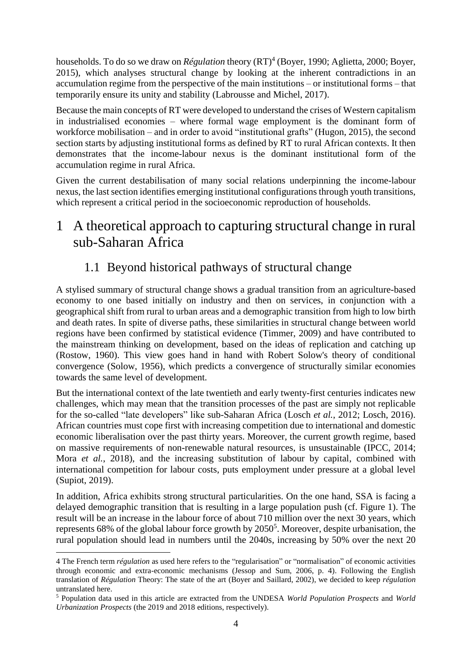households. To do so we draw on *Régulation* theory (RT)<sup>4</sup> (Boyer, 1990; Aglietta, 2000; Boyer, 2015), which analyses structural change by looking at the inherent contradictions in an accumulation regime from the perspective of the main institutions – or institutional forms – that temporarily ensure its unity and stability (Labrousse and Michel, 2017).

Because the main concepts of RT were developed to understand the crises of Western capitalism in industrialised economies – where formal wage employment is the dominant form of workforce mobilisation – and in order to avoid "institutional grafts" (Hugon, 2015), the second section starts by adjusting institutional forms as defined by RT to rural African contexts. It then demonstrates that the income-labour nexus is the dominant institutional form of the accumulation regime in rural Africa.

Given the current destabilisation of many social relations underpinning the income-labour nexus, the last section identifies emerging institutional configurations through youth transitions, which represent a critical period in the socioeconomic reproduction of households.

# 1 A theoretical approach to capturing structural change in rural sub-Saharan Africa

## 1.1 Beyond historical pathways of structural change

A stylised summary of structural change shows a gradual transition from an agriculture-based economy to one based initially on industry and then on services, in conjunction with a geographical shift from rural to urban areas and a demographic transition from high to low birth and death rates. In spite of diverse paths, these similarities in structural change between world regions have been confirmed by statistical evidence (Timmer, 2009) and have contributed to the mainstream thinking on development, based on the ideas of replication and catching up (Rostow, 1960). This view goes hand in hand with Robert Solow's theory of conditional convergence (Solow, 1956), which predicts a convergence of structurally similar economies towards the same level of development.

But the international context of the late twentieth and early twenty-first centuries indicates new challenges, which may mean that the transition processes of the past are simply not replicable for the so-called "late developers" like sub-Saharan Africa (Losch *et al.*, 2012; Losch, 2016). African countries must cope first with increasing competition due to international and domestic economic liberalisation over the past thirty years. Moreover, the current growth regime, based on massive requirements of non-renewable natural resources, is unsustainable (IPCC, 2014; Mora *et al.*, 2018), and the increasing substitution of labour by capital, combined with international competition for labour costs, puts employment under pressure at a global level (Supiot, 2019).

In addition, Africa exhibits strong structural particularities. On the one hand, SSA is facing a delayed demographic transition that is resulting in a large population push (cf. Figure 1). The result will be an increase in the labour force of about 710 million over the next 30 years, which represents 68% of the global labour force growth by 2050<sup>5</sup>. Moreover, despite urbanisation, the rural population should lead in numbers until the 2040s, increasing by 50% over the next 20

<u>.</u>

<sup>4</sup> The French term *régulation* as used here refers to the "regularisation" or "normalisation" of economic activities through economic and extra-economic mechanisms (Jessop and Sum, 2006, p. 4). Following the English translation of *Régulation* Theory: The state of the art (Boyer and Saillard, 2002), we decided to keep *régulation* untranslated here.

<sup>5</sup> Population data used in this article are extracted from the UNDESA *World Population Prospects* and *World Urbanization Prospects* (the 2019 and 2018 editions, respectively).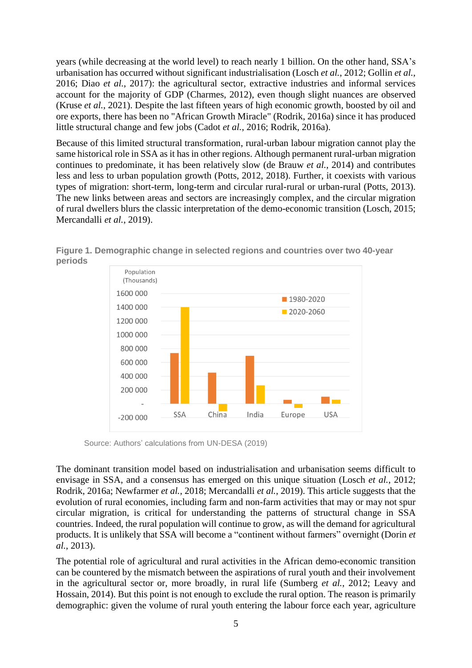years (while decreasing at the world level) to reach nearly 1 billion. On the other hand, SSA's urbanisation has occurred without significant industrialisation (Losch *et al.*, 2012; Gollin *et al.*, 2016; Diao *et al.*, 2017): the agricultural sector, extractive industries and informal services account for the majority of GDP (Charmes, 2012), even though slight nuances are observed (Kruse *et al.*, 2021). Despite the last fifteen years of high economic growth, boosted by oil and ore exports, there has been no "African Growth Miracle" (Rodrik, 2016a) since it has produced little structural change and few jobs (Cadot *et al.*, 2016; Rodrik, 2016a).

Because of this limited structural transformation, rural-urban labour migration cannot play the same historical role in SSA as it has in other regions. Although permanent rural-urban migration continues to predominate, it has been relatively slow (de Brauw *et al.*, 2014) and contributes less and less to urban population growth (Potts, 2012, 2018). Further, it coexists with various types of migration: short-term, long-term and circular rural-rural or urban-rural (Potts, 2013). The new links between areas and sectors are increasingly complex, and the circular migration of rural dwellers blurs the classic interpretation of the demo-economic transition (Losch, 2015; Mercandalli *et al.*, 2019).



**Figure 1. Demographic change in selected regions and countries over two 40-year periods**

Source: Authors' calculations from UN-DESA (2019)

The dominant transition model based on industrialisation and urbanisation seems difficult to envisage in SSA, and a consensus has emerged on this unique situation (Losch *et al.*, 2012; Rodrik, 2016a; Newfarmer *et al.*, 2018; Mercandalli *et al.*, 2019). This article suggests that the evolution of rural economies, including farm and non-farm activities that may or may not spur circular migration, is critical for understanding the patterns of structural change in SSA countries. Indeed, the rural population will continue to grow, as will the demand for agricultural products. It is unlikely that SSA will become a "continent without farmers" overnight (Dorin *et al.*, 2013).

The potential role of agricultural and rural activities in the African demo-economic transition can be countered by the mismatch between the aspirations of rural youth and their involvement in the agricultural sector or, more broadly, in rural life (Sumberg *et al.*, 2012; Leavy and Hossain, 2014). But this point is not enough to exclude the rural option. The reason is primarily demographic: given the volume of rural youth entering the labour force each year, agriculture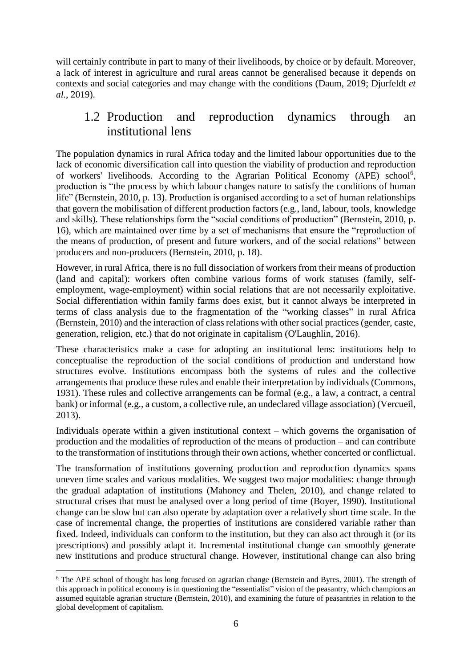will certainly contribute in part to many of their livelihoods, by choice or by default. Moreover, a lack of interest in agriculture and rural areas cannot be generalised because it depends on contexts and social categories and may change with the conditions (Daum, 2019; Djurfeldt *et al.*, 2019).

## 1.2 Production and reproduction dynamics through an institutional lens

The population dynamics in rural Africa today and the limited labour opportunities due to the lack of economic diversification call into question the viability of production and reproduction of workers' livelihoods. According to the Agrarian Political Economy (APE) school<sup>6</sup>, production is "the process by which labour changes nature to satisfy the conditions of human life" (Bernstein, 2010, p. 13). Production is organised according to a set of human relationships that govern the mobilisation of different production factors (e.g., land, labour, tools, knowledge and skills). These relationships form the "social conditions of production" (Bernstein, 2010, p. 16), which are maintained over time by a set of mechanisms that ensure the "reproduction of the means of production, of present and future workers, and of the social relations" between producers and non-producers (Bernstein, 2010, p. 18).

However, in rural Africa, there is no full dissociation of workers from their means of production (land and capital): workers often combine various forms of work statuses (family, selfemployment, wage-employment) within social relations that are not necessarily exploitative. Social differentiation within family farms does exist, but it cannot always be interpreted in terms of class analysis due to the fragmentation of the "working classes" in rural Africa (Bernstein, 2010) and the interaction of class relations with other social practices (gender, caste, generation, religion, etc.) that do not originate in capitalism (O'Laughlin, 2016).

These characteristics make a case for adopting an institutional lens: institutions help to conceptualise the reproduction of the social conditions of production and understand how structures evolve. Institutions encompass both the systems of rules and the collective arrangements that produce these rules and enable their interpretation by individuals (Commons, 1931). These rules and collective arrangements can be formal (e.g., a law, a contract, a central bank) or informal (e.g., a custom, a collective rule, an undeclared village association) (Vercueil, 2013).

Individuals operate within a given institutional context – which governs the organisation of production and the modalities of reproduction of the means of production – and can contribute to the transformation of institutions through their own actions, whether concerted or conflictual.

The transformation of institutions governing production and reproduction dynamics spans uneven time scales and various modalities. We suggest two major modalities: change through the gradual adaptation of institutions (Mahoney and Thelen, 2010), and change related to structural crises that must be analysed over a long period of time (Boyer, 1990). Institutional change can be slow but can also operate by adaptation over a relatively short time scale. In the case of incremental change, the properties of institutions are considered variable rather than fixed. Indeed, individuals can conform to the institution, but they can also act through it (or its prescriptions) and possibly adapt it. Incremental institutional change can smoothly generate new institutions and produce structural change. However, institutional change can also bring

1

<sup>&</sup>lt;sup>6</sup> The APE school of thought has long focused on agrarian change (Bernstein and Byres, 2001). The strength of this approach in political economy is in questioning the "essentialist" vision of the peasantry, which champions an assumed equitable agrarian structure (Bernstein, 2010), and examining the future of peasantries in relation to the global development of capitalism.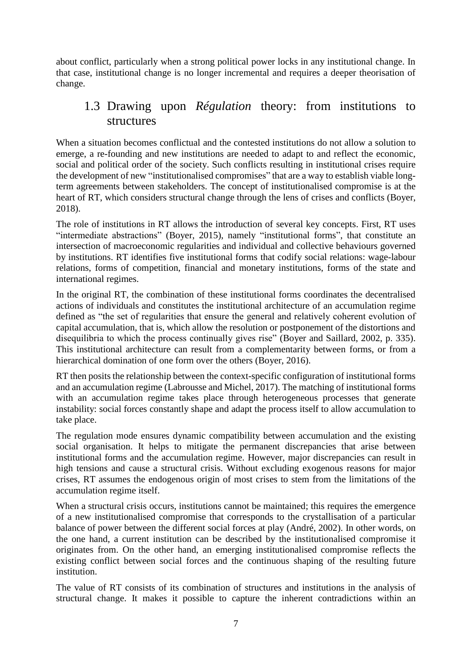about conflict, particularly when a strong political power locks in any institutional change. In that case, institutional change is no longer incremental and requires a deeper theorisation of change.

#### 1.3 Drawing upon *Régulation* theory: from institutions to structures

When a situation becomes conflictual and the contested institutions do not allow a solution to emerge, a re-founding and new institutions are needed to adapt to and reflect the economic, social and political order of the society. Such conflicts resulting in institutional crises require the development of new "institutionalised compromises" that are a way to establish viable longterm agreements between stakeholders. The concept of institutionalised compromise is at the heart of RT, which considers structural change through the lens of crises and conflicts (Boyer, 2018).

The role of institutions in RT allows the introduction of several key concepts. First, RT uses "intermediate abstractions" (Boyer, 2015), namely "institutional forms", that constitute an intersection of macroeconomic regularities and individual and collective behaviours governed by institutions. RT identifies five institutional forms that codify social relations: wage-labour relations, forms of competition, financial and monetary institutions, forms of the state and international regimes.

In the original RT, the combination of these institutional forms coordinates the decentralised actions of individuals and constitutes the institutional architecture of an accumulation regime defined as "the set of regularities that ensure the general and relatively coherent evolution of capital accumulation, that is, which allow the resolution or postponement of the distortions and disequilibria to which the process continually gives rise" (Boyer and Saillard, 2002, p. 335). This institutional architecture can result from a complementarity between forms, or from a hierarchical domination of one form over the others (Boyer, 2016).

RT then posits the relationship between the context-specific configuration of institutional forms and an accumulation regime (Labrousse and Michel, 2017). The matching of institutional forms with an accumulation regime takes place through heterogeneous processes that generate instability: social forces constantly shape and adapt the process itself to allow accumulation to take place.

The regulation mode ensures dynamic compatibility between accumulation and the existing social organisation. It helps to mitigate the permanent discrepancies that arise between institutional forms and the accumulation regime. However, major discrepancies can result in high tensions and cause a structural crisis. Without excluding exogenous reasons for major crises, RT assumes the endogenous origin of most crises to stem from the limitations of the accumulation regime itself.

When a structural crisis occurs, institutions cannot be maintained; this requires the emergence of a new institutionalised compromise that corresponds to the crystallisation of a particular balance of power between the different social forces at play (André, 2002). In other words, on the one hand, a current institution can be described by the institutionalised compromise it originates from. On the other hand, an emerging institutionalised compromise reflects the existing conflict between social forces and the continuous shaping of the resulting future institution.

The value of RT consists of its combination of structures and institutions in the analysis of structural change. It makes it possible to capture the inherent contradictions within an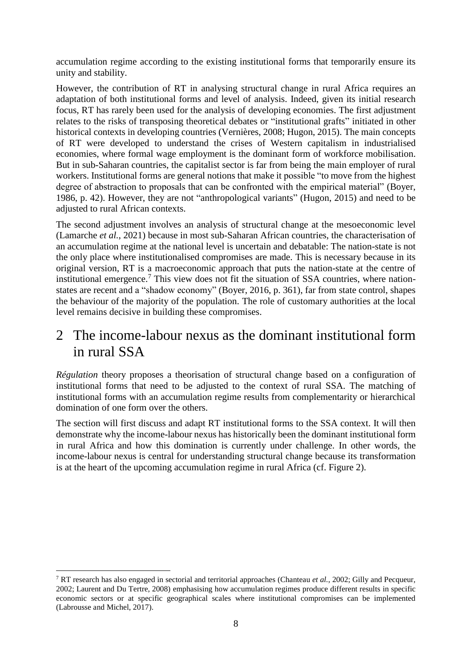accumulation regime according to the existing institutional forms that temporarily ensure its unity and stability.

However, the contribution of RT in analysing structural change in rural Africa requires an adaptation of both institutional forms and level of analysis. Indeed, given its initial research focus, RT has rarely been used for the analysis of developing economies. The first adjustment relates to the risks of transposing theoretical debates or "institutional grafts" initiated in other historical contexts in developing countries (Vernières, 2008; Hugon, 2015). The main concepts of RT were developed to understand the crises of Western capitalism in industrialised economies, where formal wage employment is the dominant form of workforce mobilisation. But in sub-Saharan countries, the capitalist sector is far from being the main employer of rural workers. Institutional forms are general notions that make it possible "to move from the highest degree of abstraction to proposals that can be confronted with the empirical material" (Boyer, 1986, p. 42). However, they are not "anthropological variants" (Hugon, 2015) and need to be adjusted to rural African contexts.

The second adjustment involves an analysis of structural change at the mesoeconomic level (Lamarche *et al.*, 2021) because in most sub-Saharan African countries, the characterisation of an accumulation regime at the national level is uncertain and debatable: The nation-state is not the only place where institutionalised compromises are made. This is necessary because in its original version, RT is a macroeconomic approach that puts the nation-state at the centre of institutional emergence.<sup>7</sup> This view does not fit the situation of SSA countries, where nationstates are recent and a "shadow economy" (Boyer, 2016, p. 361), far from state control, shapes the behaviour of the majority of the population. The role of customary authorities at the local level remains decisive in building these compromises.

## 2 The income-labour nexus as the dominant institutional form in rural SSA

*Régulation* theory proposes a theorisation of structural change based on a configuration of institutional forms that need to be adjusted to the context of rural SSA. The matching of institutional forms with an accumulation regime results from complementarity or hierarchical domination of one form over the others.

The section will first discuss and adapt RT institutional forms to the SSA context. It will then demonstrate why the income-labour nexus has historically been the dominant institutional form in rural Africa and how this domination is currently under challenge. In other words, the income-labour nexus is central for understanding structural change because its transformation is at the heart of the upcoming accumulation regime in rural Africa (cf. Figure 2).

1

<sup>7</sup> RT research has also engaged in sectorial and territorial approaches (Chanteau *et al.*, 2002; Gilly and Pecqueur, 2002; Laurent and Du Tertre, 2008) emphasising how accumulation regimes produce different results in specific economic sectors or at specific geographical scales where institutional compromises can be implemented (Labrousse and Michel, 2017).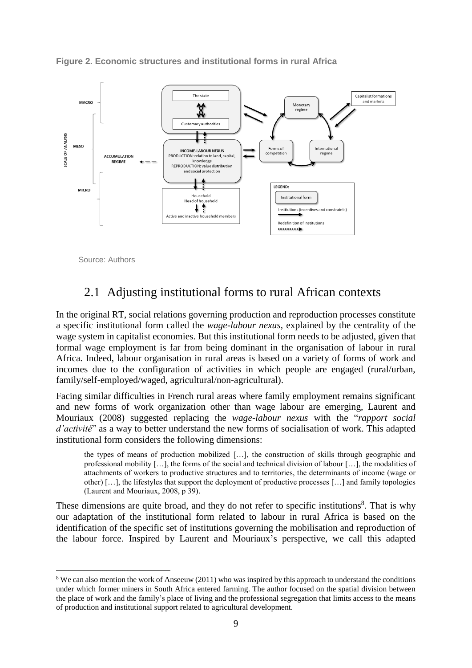



Source: Authors

1

## 2.1 Adjusting institutional forms to rural African contexts

In the original RT, social relations governing production and reproduction processes constitute a specific institutional form called the *wage-labour nexus*, explained by the centrality of the wage system in capitalist economies. But this institutional form needs to be adjusted, given that formal wage employment is far from being dominant in the organisation of labour in rural Africa. Indeed, labour organisation in rural areas is based on a variety of forms of work and incomes due to the configuration of activities in which people are engaged (rural/urban, family/self-employed/waged, agricultural/non-agricultural).

Facing similar difficulties in French rural areas where family employment remains significant and new forms of work organization other than wage labour are emerging, Laurent and Mouriaux (2008) suggested replacing the *wage-labour nexus* with the "*rapport social d'activité*" as a way to better understand the new forms of socialisation of work. This adapted institutional form considers the following dimensions:

the types of means of production mobilized […], the construction of skills through geographic and professional mobility […], the forms of the social and technical division of labour […], the modalities of attachments of workers to productive structures and to territories, the determinants of income (wage or other) […], the lifestyles that support the deployment of productive processes […] and family topologies (Laurent and Mouriaux, 2008, p 39).

These dimensions are quite broad, and they do not refer to specific institutions<sup>8</sup>. That is why our adaptation of the institutional form related to labour in rural Africa is based on the identification of the specific set of institutions governing the mobilisation and reproduction of the labour force. Inspired by Laurent and Mouriaux's perspective, we call this adapted

<sup>&</sup>lt;sup>8</sup> We can also mention the work of Anseeuw (2011) who was inspired by this approach to understand the conditions under which former miners in South Africa entered farming. The author focused on the spatial division between the place of work and the family's place of living and the professional segregation that limits access to the means of production and institutional support related to agricultural development.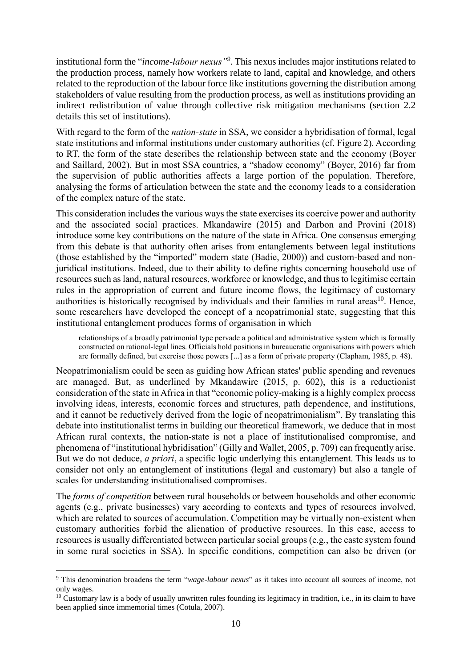institutional form the "*income-labour nexus"<sup>9</sup>* . This nexus includes major institutions related to the production process, namely how workers relate to land, capital and knowledge, and others related to the reproduction of the labour force like institutions governing the distribution among stakeholders of value resulting from the production process, as well as institutions providing an indirect redistribution of value through collective risk mitigation mechanisms (section 2.2 details this set of institutions).

With regard to the form of the *nation-state* in SSA, we consider a hybridisation of formal, legal state institutions and informal institutions under customary authorities (cf. Figure 2). According to RT, the form of the state describes the relationship between state and the economy (Boyer and Saillard, 2002). But in most SSA countries, a "shadow economy" (Boyer, 2016) far from the supervision of public authorities affects a large portion of the population. Therefore, analysing the forms of articulation between the state and the economy leads to a consideration of the complex nature of the state.

This consideration includes the various ways the state exercisesits coercive power and authority and the associated social practices. Mkandawire (2015) and Darbon and Provini (2018) introduce some key contributions on the nature of the state in Africa. One consensus emerging from this debate is that authority often arises from entanglements between legal institutions (those established by the "imported" modern state (Badie, 2000)) and custom-based and nonjuridical institutions. Indeed, due to their ability to define rights concerning household use of resources such as land, natural resources, workforce or knowledge, and thus to legitimise certain rules in the appropriation of current and future income flows, the legitimacy of customary authorities is historically recognised by individuals and their families in rural areas<sup>10</sup>. Hence, some researchers have developed the concept of a neopatrimonial state, suggesting that this institutional entanglement produces forms of organisation in which

relationships of a broadly patrimonial type pervade a political and administrative system which is formally constructed on rational-legal lines. Officials hold positions in bureaucratic organisations with powers which are formally defined, but exercise those powers [...] as a form of private property (Clapham, 1985, p. 48).

Neopatrimonialism could be seen as guiding how African states' public spending and revenues are managed. But, as underlined by Mkandawire (2015, p. 602), this is a reductionist consideration of the state in Africa in that "economic policy-making is a highly complex process involving ideas, interests, economic forces and structures, path dependence, and institutions, and it cannot be reductively derived from the logic of neopatrimonialism". By translating this debate into institutionalist terms in building our theoretical framework, we deduce that in most African rural contexts, the nation-state is not a place of institutionalised compromise, and phenomena of "institutional hybridisation" (Gilly and Wallet, 2005, p. 709) can frequently arise. But we do not deduce, *a priori*, a specific logic underlying this entanglement. This leads us to consider not only an entanglement of institutions (legal and customary) but also a tangle of scales for understanding institutionalised compromises.

The *forms of competition* between rural households or between households and other economic agents (e.g., private businesses) vary according to contexts and types of resources involved, which are related to sources of accumulation. Competition may be virtually non-existent when customary authorities forbid the alienation of productive resources. In this case, access to resources is usually differentiated between particular social groups (e.g., the caste system found in some rural societies in SSA). In specific conditions, competition can also be driven (or

1

<sup>9</sup> This denomination broadens the term "*wage-labour nexus*" as it takes into account all sources of income, not only wages.

 $10$  Customary law is a body of usually unwritten rules founding its legitimacy in tradition, i.e., in its claim to have been applied since immemorial times (Cotula, 2007).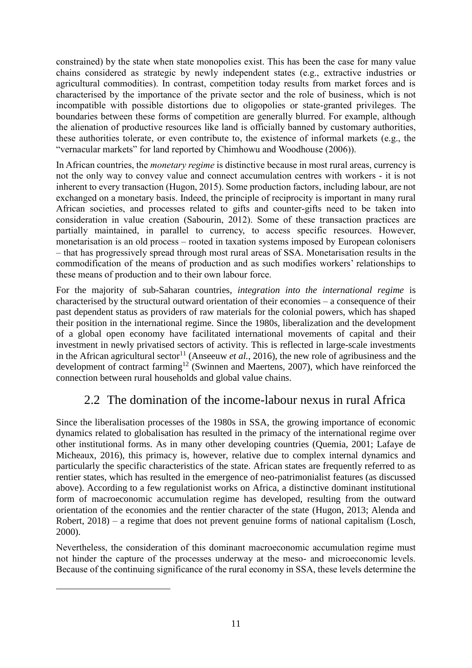constrained) by the state when state monopolies exist. This has been the case for many value chains considered as strategic by newly independent states (e.g., extractive industries or agricultural commodities). In contrast, competition today results from market forces and is characterised by the importance of the private sector and the role of business, which is not incompatible with possible distortions due to oligopolies or state-granted privileges. The boundaries between these forms of competition are generally blurred. For example, although the alienation of productive resources like land is officially banned by customary authorities, these authorities tolerate, or even contribute to, the existence of informal markets (e.g., the "vernacular markets" for land reported by Chimhowu and Woodhouse (2006)).

In African countries, the *monetary regime* is distinctive because in most rural areas, currency is not the only way to convey value and connect accumulation centres with workers - it is not inherent to every transaction (Hugon, 2015). Some production factors, including labour, are not exchanged on a monetary basis. Indeed, the principle of reciprocity is important in many rural African societies, and processes related to gifts and counter-gifts need to be taken into consideration in value creation (Sabourin, 2012). Some of these transaction practices are partially maintained, in parallel to currency, to access specific resources. However, monetarisation is an old process – rooted in taxation systems imposed by European colonisers – that has progressively spread through most rural areas of SSA. Monetarisation results in the commodification of the means of production and as such modifies workers' relationships to these means of production and to their own labour force.

For the majority of sub-Saharan countries, *integration into the international regime* is characterised by the structural outward orientation of their economies – a consequence of their past dependent status as providers of raw materials for the colonial powers, which has shaped their position in the international regime. Since the 1980s, liberalization and the development of a global open economy have facilitated international movements of capital and their investment in newly privatised sectors of activity. This is reflected in large-scale investments in the African agricultural sector<sup>11</sup> (Anseeuw *et al.*, 2016), the new role of agribusiness and the development of contract farming<sup>12</sup> (Swinnen and Maertens, 2007), which have reinforced the connection between rural households and global value chains.

## 2.2 The domination of the income-labour nexus in rural Africa

Since the liberalisation processes of the 1980s in SSA, the growing importance of economic dynamics related to globalisation has resulted in the primacy of the international regime over other institutional forms. As in many other developing countries (Quemia, 2001; Lafaye de Micheaux, 2016), this primacy is, however, relative due to complex internal dynamics and particularly the specific characteristics of the state. African states are frequently referred to as rentier states, which has resulted in the emergence of neo-patrimonialist features (as discussed above). According to a few regulationist works on Africa, a distinctive dominant institutional form of macroeconomic accumulation regime has developed, resulting from the outward orientation of the economies and the rentier character of the state (Hugon, 2013; Alenda and Robert, 2018) – a regime that does not prevent genuine forms of national capitalism (Losch, 2000).

Nevertheless, the consideration of this dominant macroeconomic accumulation regime must not hinder the capture of the processes underway at the meso- and microeconomic levels. Because of the continuing significance of the rural economy in SSA, these levels determine the

<u>.</u>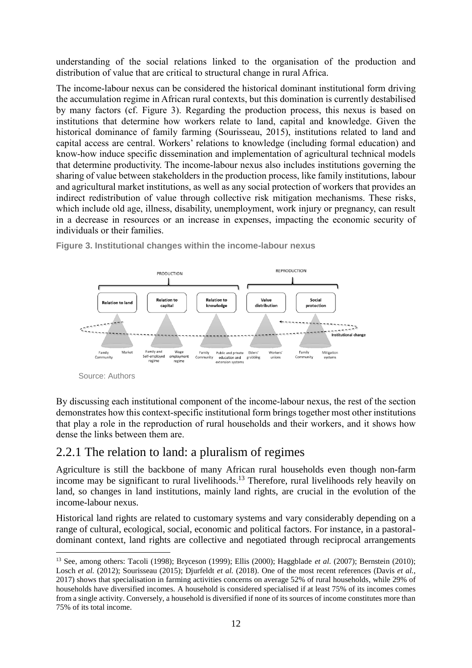understanding of the social relations linked to the organisation of the production and distribution of value that are critical to structural change in rural Africa.

The income-labour nexus can be considered the historical dominant institutional form driving the accumulation regime in African rural contexts, but this domination is currently destabilised by many factors (cf. Figure 3). Regarding the production process, this nexus is based on institutions that determine how workers relate to land, capital and knowledge. Given the historical dominance of family farming (Sourisseau, 2015), institutions related to land and capital access are central. Workers' relations to knowledge (including formal education) and know-how induce specific dissemination and implementation of agricultural technical models that determine productivity. The income-labour nexus also includes institutions governing the sharing of value between stakeholders in the production process, like family institutions, labour and agricultural market institutions, as well as any social protection of workers that provides an indirect redistribution of value through collective risk mitigation mechanisms. These risks, which include old age, illness, disability, unemployment, work injury or pregnancy, can result in a decrease in resources or an increase in expenses, impacting the economic security of individuals or their families.



**Figure 3. Institutional changes within the income-labour nexus**

<u>.</u>

By discussing each institutional component of the income-labour nexus, the rest of the section demonstrates how this context-specific institutional form brings together most other institutions that play a role in the reproduction of rural households and their workers, and it shows how dense the links between them are.

## 2.2.1 The relation to land: a pluralism of regimes

Agriculture is still the backbone of many African rural households even though non-farm income may be significant to rural livelihoods.<sup>13</sup> Therefore, rural livelihoods rely heavily on land, so changes in land institutions, mainly land rights, are crucial in the evolution of the income-labour nexus.

Historical land rights are related to customary systems and vary considerably depending on a range of cultural, ecological, social, economic and political factors. For instance, in a pastoraldominant context, land rights are collective and negotiated through reciprocal arrangements

Source: Authors

<sup>&</sup>lt;sup>13</sup> See, among others: Tacoli (1998); Bryceson (1999); Ellis (2000); Haggblade et al. (2007); Bernstein (2010); Losch *et al.* (2012); Sourisseau (2015); Djurfeldt *et al.* (2018). One of the most recent references (Davis *et al.*, 2017) shows that specialisation in farming activities concerns on average 52% of rural households, while 29% of households have diversified incomes. A household is considered specialised if at least 75% of its incomes comes from a single activity. Conversely, a household is diversified if none of its sources of income constitutes more than 75% of its total income.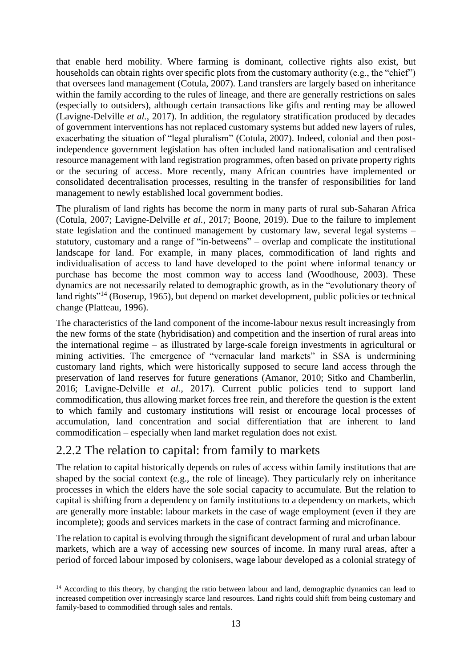that enable herd mobility. Where farming is dominant, collective rights also exist, but households can obtain rights over specific plots from the customary authority (e.g., the "chief") that oversees land management (Cotula, 2007). Land transfers are largely based on inheritance within the family according to the rules of lineage, and there are generally restrictions on sales (especially to outsiders), although certain transactions like gifts and renting may be allowed (Lavigne-Delville *et al.*, 2017). In addition, the regulatory stratification produced by decades of government interventions has not replaced customary systems but added new layers of rules, exacerbating the situation of "legal pluralism" (Cotula, 2007). Indeed, colonial and then postindependence government legislation has often included land nationalisation and centralised resource management with land registration programmes, often based on private property rights or the securing of access. More recently, many African countries have implemented or consolidated decentralisation processes, resulting in the transfer of responsibilities for land management to newly established local government bodies.

The pluralism of land rights has become the norm in many parts of rural sub-Saharan Africa (Cotula, 2007; Lavigne-Delville *et al.*, 2017; Boone, 2019). Due to the failure to implement state legislation and the continued management by customary law, several legal systems – statutory, customary and a range of "in-betweens" – overlap and complicate the institutional landscape for land. For example, in many places, commodification of land rights and individualisation of access to land have developed to the point where informal tenancy or purchase has become the most common way to access land (Woodhouse, 2003). These dynamics are not necessarily related to demographic growth, as in the "evolutionary theory of land rights<sup>"14</sup> (Boserup, 1965), but depend on market development, public policies or technical change (Platteau, 1996).

The characteristics of the land component of the income-labour nexus result increasingly from the new forms of the state (hybridisation) and competition and the insertion of rural areas into the international regime – as illustrated by large-scale foreign investments in agricultural or mining activities. The emergence of "vernacular land markets" in SSA is undermining customary land rights, which were historically supposed to secure land access through the preservation of land reserves for future generations (Amanor, 2010; Sitko and Chamberlin, 2016; Lavigne-Delville *et al.*, 2017). Current public policies tend to support land commodification, thus allowing market forces free rein, and therefore the question is the extent to which family and customary institutions will resist or encourage local processes of accumulation, land concentration and social differentiation that are inherent to land commodification – especially when land market regulation does not exist.

## 2.2.2 The relation to capital: from family to markets

1

The relation to capital historically depends on rules of access within family institutions that are shaped by the social context (e.g., the role of lineage). They particularly rely on inheritance processes in which the elders have the sole social capacity to accumulate. But the relation to capital is shifting from a dependency on family institutions to a dependency on markets, which are generally more instable: labour markets in the case of wage employment (even if they are incomplete); goods and services markets in the case of contract farming and microfinance.

The relation to capital is evolving through the significant development of rural and urban labour markets, which are a way of accessing new sources of income. In many rural areas, after a period of forced labour imposed by colonisers, wage labour developed as a colonial strategy of

<sup>&</sup>lt;sup>14</sup> According to this theory, by changing the ratio between labour and land, demographic dynamics can lead to increased competition over increasingly scarce land resources. Land rights could shift from being customary and family-based to commodified through sales and rentals.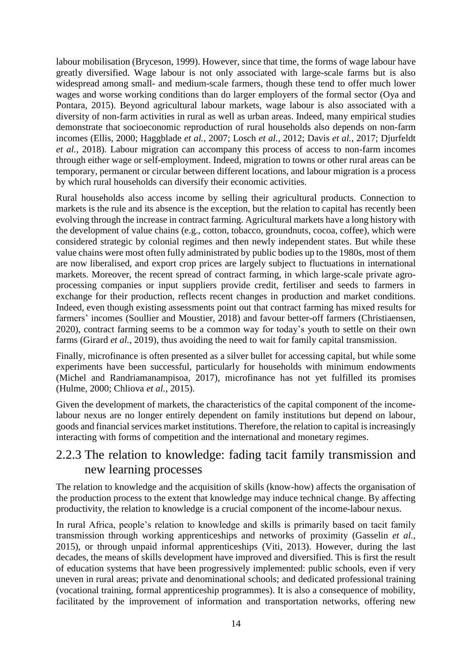labour mobilisation (Bryceson, 1999). However, since that time, the forms of wage labour have greatly diversified. Wage labour is not only associated with large-scale farms but is also widespread among small- and medium-scale farmers, though these tend to offer much lower wages and worse working conditions than do larger employers of the formal sector (Oya and Pontara, 2015). Beyond agricultural labour markets, wage labour is also associated with a diversity of non-farm activities in rural as well as urban areas. Indeed, many empirical studies demonstrate that socioeconomic reproduction of rural households also depends on non-farm incomes (Ellis, 2000; Haggblade *et al.*, 2007; Losch *et al.*, 2012; Davis *et al.*, 2017; Djurfeldt *et al.*, 2018). Labour migration can accompany this process of access to non-farm incomes through either wage or self-employment. Indeed, migration to towns or other rural areas can be temporary, permanent or circular between different locations, and labour migration is a process by which rural households can diversify their economic activities.

Rural households also access income by selling their agricultural products. Connection to markets is the rule and its absence is the exception, but the relation to capital has recently been evolving through the increase in contract farming. Agricultural markets have a long history with the development of value chains (e.g., cotton, tobacco, groundnuts, cocoa, coffee), which were considered strategic by colonial regimes and then newly independent states. But while these value chains were most often fully administrated by public bodies up to the 1980s, most of them are now liberalised, and export crop prices are largely subject to fluctuations in international markets. Moreover, the recent spread of contract farming, in which large-scale private agroprocessing companies or input suppliers provide credit, fertiliser and seeds to farmers in exchange for their production, reflects recent changes in production and market conditions. Indeed, even though existing assessments point out that contract farming has mixed results for farmers' incomes (Soullier and Moustier, 2018) and favour better-off farmers (Christiaensen, 2020), contract farming seems to be a common way for today's youth to settle on their own farms (Girard *et al.*, 2019), thus avoiding the need to wait for family capital transmission.

Finally, microfinance is often presented as a silver bullet for accessing capital, but while some experiments have been successful, particularly for households with minimum endowments (Michel and Randriamanampisoa, 2017), microfinance has not yet fulfilled its promises (Hulme, 2000; Chliova *et al.*, 2015).

Given the development of markets, the characteristics of the capital component of the incomelabour nexus are no longer entirely dependent on family institutions but depend on labour, goods and financial services market institutions. Therefore, the relation to capital is increasingly interacting with forms of competition and the international and monetary regimes.

### 2.2.3 The relation to knowledge: fading tacit family transmission and new learning processes

The relation to knowledge and the acquisition of skills (know-how) affects the organisation of the production process to the extent that knowledge may induce technical change. By affecting productivity, the relation to knowledge is a crucial component of the income-labour nexus.

In rural Africa, people's relation to knowledge and skills is primarily based on tacit family transmission through working apprenticeships and networks of proximity (Gasselin *et al.*, 2015), or through unpaid informal apprenticeships (Viti, 2013). However, during the last decades, the means of skills development have improved and diversified. This is first the result of education systems that have been progressively implemented: public schools, even if very uneven in rural areas; private and denominational schools; and dedicated professional training (vocational training, formal apprenticeship programmes). It is also a consequence of mobility, facilitated by the improvement of information and transportation networks, offering new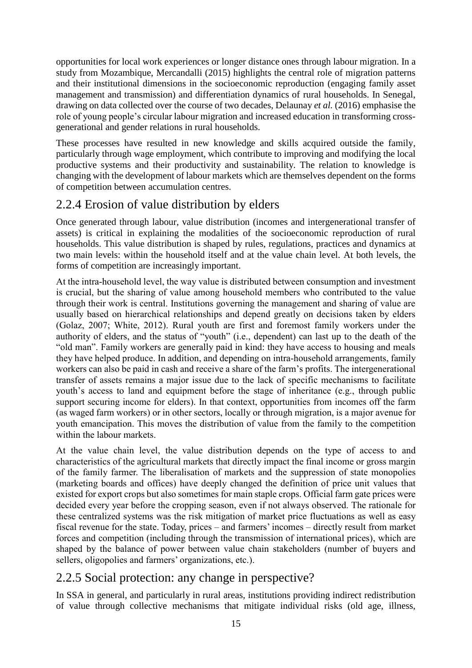opportunities for local work experiences or longer distance ones through labour migration. In a study from Mozambique, Mercandalli (2015) highlights the central role of migration patterns and their institutional dimensions in the socioeconomic reproduction (engaging family asset management and transmission) and differentiation dynamics of rural households. In Senegal, drawing on data collected over the course of two decades, Delaunay *et al.* (2016) emphasise the role of young people's circular labour migration and increased education in transforming crossgenerational and gender relations in rural households.

These processes have resulted in new knowledge and skills acquired outside the family, particularly through wage employment, which contribute to improving and modifying the local productive systems and their productivity and sustainability. The relation to knowledge is changing with the development of labour markets which are themselves dependent on the forms of competition between accumulation centres.

## 2.2.4 Erosion of value distribution by elders

Once generated through labour, value distribution (incomes and intergenerational transfer of assets) is critical in explaining the modalities of the socioeconomic reproduction of rural households. This value distribution is shaped by rules, regulations, practices and dynamics at two main levels: within the household itself and at the value chain level. At both levels, the forms of competition are increasingly important.

At the intra-household level, the way value is distributed between consumption and investment is crucial, but the sharing of value among household members who contributed to the value through their work is central. Institutions governing the management and sharing of value are usually based on hierarchical relationships and depend greatly on decisions taken by elders (Golaz, 2007; White, 2012). Rural youth are first and foremost family workers under the authority of elders, and the status of "youth" (i.e., dependent) can last up to the death of the "old man". Family workers are generally paid in kind: they have access to housing and meals they have helped produce. In addition, and depending on intra-household arrangements, family workers can also be paid in cash and receive a share of the farm's profits. The intergenerational transfer of assets remains a major issue due to the lack of specific mechanisms to facilitate youth's access to land and equipment before the stage of inheritance (e.g., through public support securing income for elders). In that context, opportunities from incomes off the farm (as waged farm workers) or in other sectors, locally or through migration, is a major avenue for youth emancipation. This moves the distribution of value from the family to the competition within the labour markets.

At the value chain level, the value distribution depends on the type of access to and characteristics of the agricultural markets that directly impact the final income or gross margin of the family farmer. The liberalisation of markets and the suppression of state monopolies (marketing boards and offices) have deeply changed the definition of price unit values that existed for export crops but also sometimes for main staple crops. Official farm gate prices were decided every year before the cropping season, even if not always observed. The rationale for these centralized systems was the risk mitigation of market price fluctuations as well as easy fiscal revenue for the state. Today, prices – and farmers' incomes – directly result from market forces and competition (including through the transmission of international prices), which are shaped by the balance of power between value chain stakeholders (number of buyers and sellers, oligopolies and farmers' organizations, etc.).

## 2.2.5 Social protection: any change in perspective?

In SSA in general, and particularly in rural areas, institutions providing indirect redistribution of value through collective mechanisms that mitigate individual risks (old age, illness,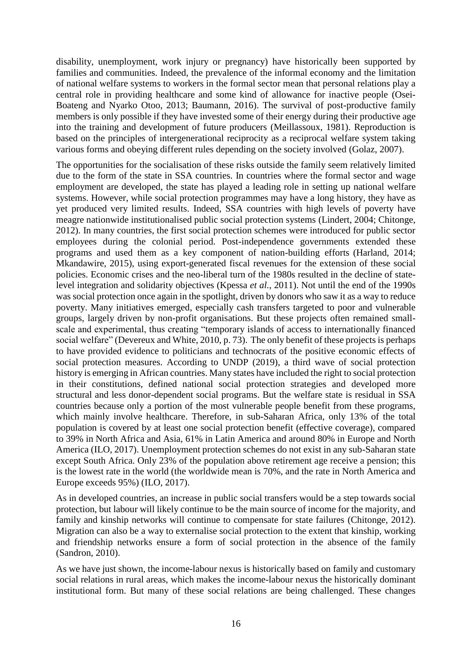disability, unemployment, work injury or pregnancy) have historically been supported by families and communities. Indeed, the prevalence of the informal economy and the limitation of national welfare systems to workers in the formal sector mean that personal relations play a central role in providing healthcare and some kind of allowance for inactive people (Osei-Boateng and Nyarko Otoo, 2013; Baumann, 2016). The survival of post-productive family members is only possible if they have invested some of their energy during their productive age into the training and development of future producers (Meillassoux, 1981). Reproduction is based on the principles of intergenerational reciprocity as a reciprocal welfare system taking various forms and obeying different rules depending on the society involved (Golaz, 2007).

The opportunities for the socialisation of these risks outside the family seem relatively limited due to the form of the state in SSA countries. In countries where the formal sector and wage employment are developed, the state has played a leading role in setting up national welfare systems. However, while social protection programmes may have a long history, they have as yet produced very limited results. Indeed, SSA countries with high levels of poverty have meagre nationwide institutionalised public social protection systems (Lindert, 2004; Chitonge, 2012). In many countries, the first social protection schemes were introduced for public sector employees during the colonial period. Post-independence governments extended these programs and used them as a key component of nation-building efforts (Harland, 2014; Mkandawire, 2015), using export-generated fiscal revenues for the extension of these social policies. Economic crises and the neo-liberal turn of the 1980s resulted in the decline of statelevel integration and solidarity objectives (Kpessa *et al.*, 2011). Not until the end of the 1990s was social protection once again in the spotlight, driven by donors who saw it as a way to reduce poverty. Many initiatives emerged, especially cash transfers targeted to poor and vulnerable groups, largely driven by non-profit organisations. But these projects often remained smallscale and experimental, thus creating "temporary islands of access to internationally financed social welfare" (Devereux and White, 2010, p. 73). The only benefit of these projects is perhaps to have provided evidence to politicians and technocrats of the positive economic effects of social protection measures. According to UNDP (2019), a third wave of social protection history is emerging in African countries. Many states have included the right to social protection in their constitutions, defined national social protection strategies and developed more structural and less donor-dependent social programs. But the welfare state is residual in SSA countries because only a portion of the most vulnerable people benefit from these programs, which mainly involve healthcare. Therefore, in sub-Saharan Africa, only 13% of the total population is covered by at least one social protection benefit (effective coverage), compared to 39% in North Africa and Asia, 61% in Latin America and around 80% in Europe and North America (ILO, 2017). Unemployment protection schemes do not exist in any sub-Saharan state except South Africa. Only 23% of the population above retirement age receive a pension; this is the lowest rate in the world (the worldwide mean is 70%, and the rate in North America and Europe exceeds 95%) (ILO, 2017).

As in developed countries, an increase in public social transfers would be a step towards social protection, but labour will likely continue to be the main source of income for the majority, and family and kinship networks will continue to compensate for state failures (Chitonge, 2012). Migration can also be a way to externalise social protection to the extent that kinship, working and friendship networks ensure a form of social protection in the absence of the family (Sandron, 2010).

As we have just shown, the income-labour nexus is historically based on family and customary social relations in rural areas, which makes the income-labour nexus the historically dominant institutional form. But many of these social relations are being challenged. These changes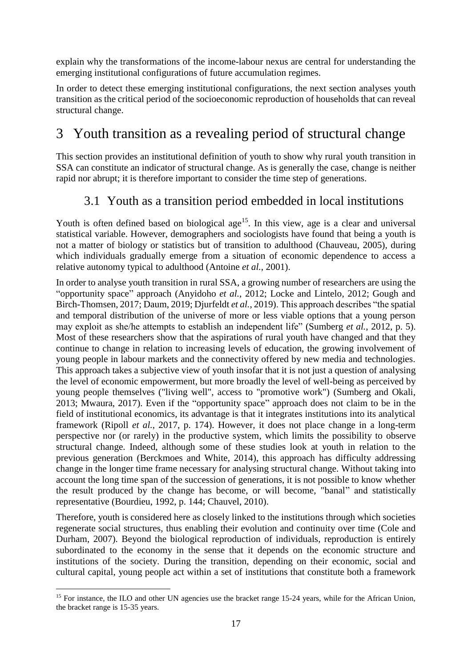explain why the transformations of the income-labour nexus are central for understanding the emerging institutional configurations of future accumulation regimes.

In order to detect these emerging institutional configurations, the next section analyses youth transition as the critical period of the socioeconomic reproduction of households that can reveal structural change.

# 3 Youth transition as a revealing period of structural change

This section provides an institutional definition of youth to show why rural youth transition in SSA can constitute an indicator of structural change. As is generally the case, change is neither rapid nor abrupt; it is therefore important to consider the time step of generations.

## 3.1 Youth as a transition period embedded in local institutions

Youth is often defined based on biological age<sup>15</sup>. In this view, age is a clear and universal statistical variable. However, demographers and sociologists have found that being a youth is not a matter of biology or statistics but of transition to adulthood (Chauveau, 2005), during which individuals gradually emerge from a situation of economic dependence to access a relative autonomy typical to adulthood (Antoine *et al.*, 2001).

In order to analyse youth transition in rural SSA, a growing number of researchers are using the "opportunity space" approach (Anyidoho *et al.*, 2012; Locke and Lintelo, 2012; Gough and Birch-Thomsen, 2017; Daum, 2019; Djurfeldt *et al.*, 2019). This approach describes "the spatial and temporal distribution of the universe of more or less viable options that a young person may exploit as she/he attempts to establish an independent life" (Sumberg *et al.*, 2012, p. 5). Most of these researchers show that the aspirations of rural youth have changed and that they continue to change in relation to increasing levels of education, the growing involvement of young people in labour markets and the connectivity offered by new media and technologies. This approach takes a subjective view of youth insofar that it is not just a question of analysing the level of economic empowerment, but more broadly the level of well-being as perceived by young people themselves ("living well", access to "promotive work") (Sumberg and Okali, 2013; Mwaura, 2017). Even if the "opportunity space" approach does not claim to be in the field of institutional economics, its advantage is that it integrates institutions into its analytical framework (Ripoll *et al.*, 2017, p. 174). However, it does not place change in a long-term perspective nor (or rarely) in the productive system, which limits the possibility to observe structural change. Indeed, although some of these studies look at youth in relation to the previous generation (Berckmoes and White, 2014), this approach has difficulty addressing change in the longer time frame necessary for analysing structural change. Without taking into account the long time span of the succession of generations, it is not possible to know whether the result produced by the change has become, or will become, "banal" and statistically representative (Bourdieu, 1992, p. 144; Chauvel, 2010).

Therefore, youth is considered here as closely linked to the institutions through which societies regenerate social structures, thus enabling their evolution and continuity over time (Cole and Durham, 2007). Beyond the biological reproduction of individuals, reproduction is entirely subordinated to the economy in the sense that it depends on the economic structure and institutions of the society. During the transition, depending on their economic, social and cultural capital, young people act within a set of institutions that constitute both a framework

<u>.</u>

<sup>&</sup>lt;sup>15</sup> For instance, the ILO and other UN agencies use the bracket range 15-24 years, while for the African Union, the bracket range is 15-35 years.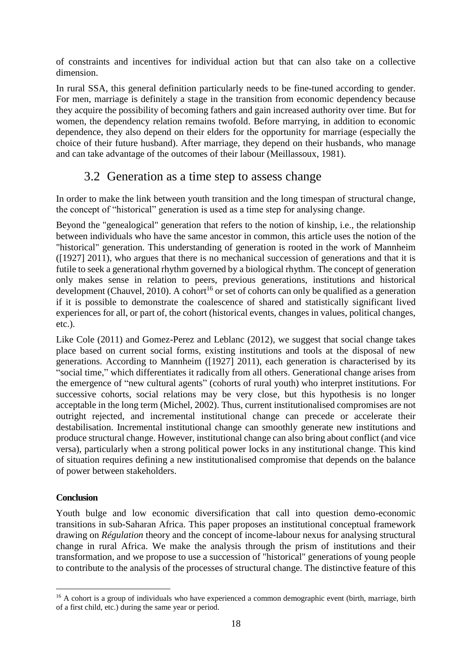of constraints and incentives for individual action but that can also take on a collective dimension.

In rural SSA, this general definition particularly needs to be fine-tuned according to gender. For men, marriage is definitely a stage in the transition from economic dependency because they acquire the possibility of becoming fathers and gain increased authority over time. But for women, the dependency relation remains twofold. Before marrying, in addition to economic dependence, they also depend on their elders for the opportunity for marriage (especially the choice of their future husband). After marriage, they depend on their husbands, who manage and can take advantage of the outcomes of their labour (Meillassoux, 1981).

### 3.2 Generation as a time step to assess change

In order to make the link between youth transition and the long timespan of structural change, the concept of "historical" generation is used as a time step for analysing change.

Beyond the "genealogical" generation that refers to the notion of kinship, i.e., the relationship between individuals who have the same ancestor in common, this article uses the notion of the "historical" generation. This understanding of generation is rooted in the work of Mannheim ([1927] 2011), who argues that there is no mechanical succession of generations and that it is futile to seek a generational rhythm governed by a biological rhythm. The concept of generation only makes sense in relation to peers, previous generations, institutions and historical development (Chauvel, 2010). A cohort<sup>16</sup> or set of cohorts can only be qualified as a generation if it is possible to demonstrate the coalescence of shared and statistically significant lived experiences for all, or part of, the cohort (historical events, changes in values, political changes, etc.).

Like Cole (2011) and Gomez-Perez and Leblanc (2012), we suggest that social change takes place based on current social forms, existing institutions and tools at the disposal of new generations. According to Mannheim ([1927] 2011), each generation is characterised by its "social time," which differentiates it radically from all others. Generational change arises from the emergence of "new cultural agents" (cohorts of rural youth) who interpret institutions. For successive cohorts, social relations may be very close, but this hypothesis is no longer acceptable in the long term (Michel, 2002). Thus, current institutionalised compromises are not outright rejected, and incremental institutional change can precede or accelerate their destabilisation. Incremental institutional change can smoothly generate new institutions and produce structural change. However, institutional change can also bring about conflict (and vice versa), particularly when a strong political power locks in any institutional change. This kind of situation requires defining a new institutionalised compromise that depends on the balance of power between stakeholders.

#### **Conclusion**

<u>.</u>

Youth bulge and low economic diversification that call into question demo-economic transitions in sub-Saharan Africa. This paper proposes an institutional conceptual framework drawing on *Régulation* theory and the concept of income-labour nexus for analysing structural change in rural Africa. We make the analysis through the prism of institutions and their transformation, and we propose to use a succession of "historical" generations of young people to contribute to the analysis of the processes of structural change. The distinctive feature of this

<sup>&</sup>lt;sup>16</sup> A cohort is a group of individuals who have experienced a common demographic event (birth, marriage, birth of a first child, etc.) during the same year or period.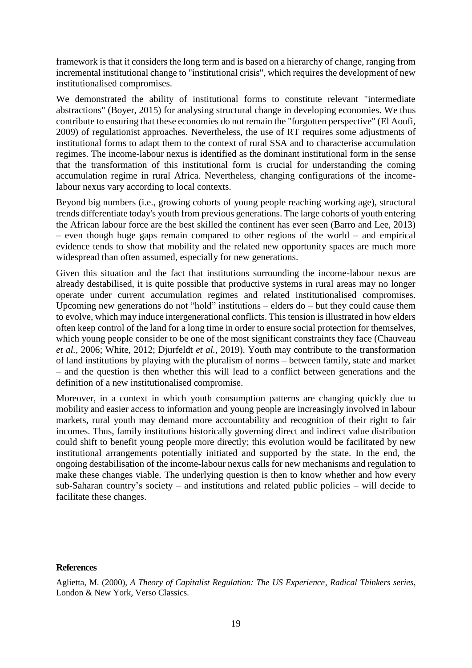framework is that it considers the long term and is based on a hierarchy of change, ranging from incremental institutional change to "institutional crisis", which requires the development of new institutionalised compromises.

We demonstrated the ability of institutional forms to constitute relevant "intermediate abstractions" (Boyer, 2015) for analysing structural change in developing economies. We thus contribute to ensuring that these economies do not remain the "forgotten perspective" (El Aoufi, 2009) of regulationist approaches. Nevertheless, the use of RT requires some adjustments of institutional forms to adapt them to the context of rural SSA and to characterise accumulation regimes. The income-labour nexus is identified as the dominant institutional form in the sense that the transformation of this institutional form is crucial for understanding the coming accumulation regime in rural Africa. Nevertheless, changing configurations of the incomelabour nexus vary according to local contexts.

Beyond big numbers (i.e., growing cohorts of young people reaching working age), structural trends differentiate today's youth from previous generations. The large cohorts of youth entering the African labour force are the best skilled the continent has ever seen (Barro and Lee, 2013) – even though huge gaps remain compared to other regions of the world – and empirical evidence tends to show that mobility and the related new opportunity spaces are much more widespread than often assumed, especially for new generations.

Given this situation and the fact that institutions surrounding the income-labour nexus are already destabilised, it is quite possible that productive systems in rural areas may no longer operate under current accumulation regimes and related institutionalised compromises. Upcoming new generations do not "hold" institutions – elders do – but they could cause them to evolve, which may induce intergenerational conflicts. This tension is illustrated in how elders often keep control of the land for a long time in order to ensure social protection for themselves, which young people consider to be one of the most significant constraints they face (Chauveau *et al.*, 2006; White, 2012; Djurfeldt *et al.*, 2019). Youth may contribute to the transformation of land institutions by playing with the pluralism of norms – between family, state and market – and the question is then whether this will lead to a conflict between generations and the definition of a new institutionalised compromise.

Moreover, in a context in which youth consumption patterns are changing quickly due to mobility and easier access to information and young people are increasingly involved in labour markets, rural youth may demand more accountability and recognition of their right to fair incomes. Thus, family institutions historically governing direct and indirect value distribution could shift to benefit young people more directly; this evolution would be facilitated by new institutional arrangements potentially initiated and supported by the state. In the end, the ongoing destabilisation of the income-labour nexus calls for new mechanisms and regulation to make these changes viable. The underlying question is then to know whether and how every sub-Saharan country's society – and institutions and related public policies – will decide to facilitate these changes.

#### **References**

Aglietta, M. (2000), *A Theory of Capitalist Regulation: The US Experience*, *Radical Thinkers series*, London & New York, Verso Classics.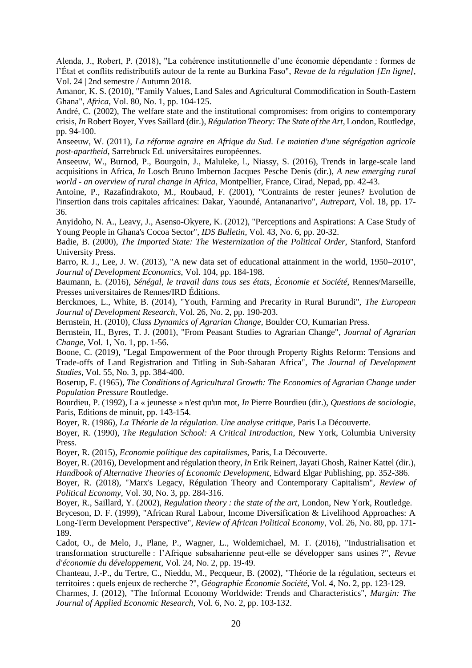Alenda, J., Robert, P. (2018), "La cohérence institutionnelle d'une économie dépendante : formes de l'État et conflits redistributifs autour de la rente au Burkina Faso", *Revue de la régulation [En ligne]*, Vol. 24 | 2nd semestre / Autumn 2018.

Amanor, K. S. (2010), "Family Values, Land Sales and Agricultural Commodification in South-Eastern Ghana", *Africa*, Vol. 80, No. 1, pp. 104-125.

André, C. (2002), The welfare state and the institutional compromises: from origins to contemporary crisis, *In* Robert Boyer, Yves Saillard (dir.), *Régulation Theory: The State of the Art*, London, Routledge, pp. 94-100.

Anseeuw, W. (2011), *La réforme agraire en Afrique du Sud. Le maintien d'une ségrégation agricole post-apartheid*, Sarrebruck Ed. universitaires européennes.

Anseeuw, W., Burnod, P., Bourgoin, J., Maluleke, l., Niassy, S. (2016), Trends in large-scale land acquisitions in Africa, *In* Losch Bruno Imbernon Jacques Pesche Denis (dir.), *A new emerging rural world - an overview of rural change in Africa*, Montpellier, France, Cirad, Nepad, pp. 42-43.

Antoine, P., Razafindrakoto, M., Roubaud, F. (2001), "Contraints de rester jeunes? Evolution de l'insertion dans trois capitales africaines: Dakar, Yaoundé, Antananarivo", *Autrepart*, Vol. 18, pp. 17- 36.

Anyidoho, N. A., Leavy, J., Asenso-Okyere, K. (2012), "Perceptions and Aspirations: A Case Study of Young People in Ghana's Cocoa Sector", *IDS Bulletin*, Vol. 43, No. 6, pp. 20-32.

Badie, B. (2000), *The Imported State: The Westernization of the Political Order*, Stanford, Stanford University Press.

Barro, R. J., Lee, J. W. (2013), "A new data set of educational attainment in the world, 1950–2010", *Journal of Development Economics*, Vol. 104, pp. 184-198.

Baumann, E. (2016), *Sénégal, le travail dans tous ses états*, *Économie et Société*, Rennes/Marseille, Presses universitaires de Rennes/IRD Éditions.

Berckmoes, L., White, B. (2014), "Youth, Farming and Precarity in Rural Burundi", *The European Journal of Development Research*, Vol. 26, No. 2, pp. 190-203.

Bernstein, H. (2010), *Class Dynamics of Agrarian Change*, Boulder CO, Kumarian Press.

Bernstein, H., Byres, T. J. (2001), "From Peasant Studies to Agrarian Change", *Journal of Agrarian Change*, Vol. 1, No. 1, pp. 1-56.

Boone, C. (2019), "Legal Empowerment of the Poor through Property Rights Reform: Tensions and Trade-offs of Land Registration and Titling in Sub-Saharan Africa", *The Journal of Development Studies*, Vol. 55, No. 3, pp. 384-400.

Boserup, E. (1965), *The Conditions of Agricultural Growth: The Economics of Agrarian Change under Population Pressure* Routledge.

Bourdieu, P. (1992), La « jeunesse » n'est qu'un mot, *In* Pierre Bourdieu (dir.), *Questions de sociologie*, Paris, Editions de minuit, pp. 143-154.

Boyer, R. (1986), *La Théorie de la régulation. Une analyse critique*, Paris La Découverte.

Boyer, R. (1990), *The Regulation School: A Critical Introduction*, New York, Columbia University Press.

Boyer, R. (2015), *Economie politique des capitalismes*, Paris, La Découverte.

Boyer, R. (2016), Development and régulation theory, *In* Erik Reinert, Jayati Ghosh, Rainer Kattel (dir.), *Handbook of Alternative Theories of Economic Development*, Edward Elgar Publishing, pp. 352-386.

Boyer, R. (2018), "Marx's Legacy, Régulation Theory and Contemporary Capitalism", *Review of Political Economy*, Vol. 30, No. 3, pp. 284-316.

Boyer, R., Saillard, Y. (2002), *Regulation theory : the state of the art*, London, New York, Routledge. Bryceson, D. F. (1999), "African Rural Labour, Income Diversification & Livelihood Approaches: A Long-Term Development Perspective", *Review of African Political Economy*, Vol. 26, No. 80, pp. 171- 189.

Cadot, O., de Melo, J., Plane, P., Wagner, L., Woldemichael, M. T. (2016), "Industrialisation et transformation structurelle : l'Afrique subsaharienne peut-elle se développer sans usines ?", *Revue d'économie du développement*, Vol. 24, No. 2, pp. 19-49.

Chanteau, J.-P., du Tertre, C., Nieddu, M., Pecqueur, B. (2002), "Théorie de la régulation, secteurs et territoires : quels enjeux de recherche ?", *Géographie Économie Société*, Vol. 4, No. 2, pp. 123-129.

Charmes, J. (2012), "The Informal Economy Worldwide: Trends and Characteristics", *Margin: The Journal of Applied Economic Research*, Vol. 6, No. 2, pp. 103-132.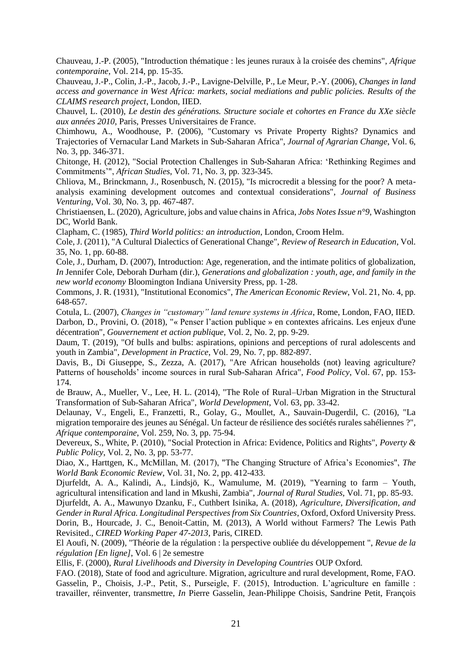Chauveau, J.-P. (2005), "Introduction thématique : les jeunes ruraux à la croisée des chemins", *Afrique contemporaine*, Vol. 214, pp. 15-35.

Chauveau, J.-P., Colin, J.-P., Jacob, J.-P., Lavigne-Delville, P., Le Meur, P.-Y. (2006), *Changes in land access and governance in West Africa: markets, social mediations and public policies. Results of the CLAIMS research project*, London, IIED.

Chauvel, L. (2010), *Le destin des générations. Structure sociale et cohortes en France du XXe siècle aux années 2010*, Paris, Presses Universitaires de France.

Chimhowu, A., Woodhouse, P. (2006), "Customary vs Private Property Rights? Dynamics and Trajectories of Vernacular Land Markets in Sub-Saharan Africa", *Journal of Agrarian Change*, Vol. 6, No. 3, pp. 346-371.

Chitonge, H. (2012), "Social Protection Challenges in Sub-Saharan Africa: 'Rethinking Regimes and Commitments'", *African Studies*, Vol. 71, No. 3, pp. 323-345.

Chliova, M., Brinckmann, J., Rosenbusch, N. (2015), "Is microcredit a blessing for the poor? A metaanalysis examining development outcomes and contextual considerations", *Journal of Business Venturing*, Vol. 30, No. 3, pp. 467-487.

Christiaensen, L. (2020), Agriculture, jobs and value chains in Africa, *Jobs Notes Issue n°9*, Washington DC, World Bank.

Clapham, C. (1985), *Third World politics: an introduction*, London, Croom Helm.

Cole, J. (2011), "A Cultural Dialectics of Generational Change", *Review of Research in Education*, Vol. 35, No. 1, pp. 60-88.

Cole, J., Durham, D. (2007), Introduction: Age, regeneration, and the intimate politics of globalization, *In* Jennifer Cole, Deborah Durham (dir.), *Generations and globalization : youth, age, and family in the new world economy* Bloomington Indiana University Press, pp. 1-28.

Commons, J. R. (1931), "Institutional Economics", *The American Economic Review*, Vol. 21, No. 4, pp. 648-657.

Cotula, L. (2007), *Changes in "customary" land tenure systems in Africa*, Rome, London, FAO, IIED. Darbon, D., Provini, O. (2018), "« Penser l'action publique » en contextes africains. Les enjeux d'une décentration", *Gouvernement et action publique*, Vol. 2, No. 2, pp. 9-29.

Daum, T. (2019), "Of bulls and bulbs: aspirations, opinions and perceptions of rural adolescents and youth in Zambia", *Development in Practice*, Vol. 29, No. 7, pp. 882-897.

Davis, B., Di Giuseppe, S., Zezza, A. (2017), "Are African households (not) leaving agriculture? Patterns of households' income sources in rural Sub-Saharan Africa", *Food Policy*, Vol. 67, pp. 153- 174.

de Brauw, A., Mueller, V., Lee, H. L. (2014), "The Role of Rural–Urban Migration in the Structural Transformation of Sub-Saharan Africa", *World Development*, Vol. 63, pp. 33-42.

Delaunay, V., Engeli, E., Franzetti, R., Golay, G., Moullet, A., Sauvain-Dugerdil, C. (2016), "La migration temporaire des jeunes au Sénégal. Un facteur de résilience des sociétés rurales sahéliennes ?", *Afrique contemporaine*, Vol. 259, No. 3, pp. 75-94.

Devereux, S., White, P. (2010), "Social Protection in Africa: Evidence, Politics and Rights", *Poverty & Public Policy*, Vol. 2, No. 3, pp. 53-77.

Diao, X., Harttgen, K., McMillan, M. (2017), "The Changing Structure of Africa's Economies", *The World Bank Economic Review*, Vol. 31, No. 2, pp. 412-433.

Djurfeldt, A. A., Kalindi, A., Lindsjö, K., Wamulume, M. (2019), "Yearning to farm – Youth, agricultural intensification and land in Mkushi, Zambia", *Journal of Rural Studies*, Vol. 71, pp. 85-93.

Djurfeldt, A. A., Mawunyo Dzanku, F., Cuthbert Isinika, A. (2018), *Agriculture, Diversification, and Gender in Rural Africa. Longitudinal Perspectives from Six Countries*, Oxford, Oxford University Press. Dorin, B., Hourcade, J. C., Benoit-Cattin, M. (2013), A World without Farmers? The Lewis Path Revisited., *CIRED Working Paper 47-2013*, Paris, CIRED.

El Aoufi, N. (2009), "Théorie de la régulation : la perspective oubliée du développement ", *Revue de la régulation [En ligne]*, Vol. 6 | 2e semestre

Ellis, F. (2000), *Rural Livelihoods and Diversity in Developing Countries* OUP Oxford.

FAO. (2018), State of food and agriculture. Migration, agriculture and rural development, Rome, FAO. Gasselin, P., Choisis, J.-P., Petit, S., Purseigle, F. (2015), Introduction. L'agriculture en famille : travailler, réinventer, transmettre, *In* Pierre Gasselin, Jean-Philippe Choisis, Sandrine Petit, François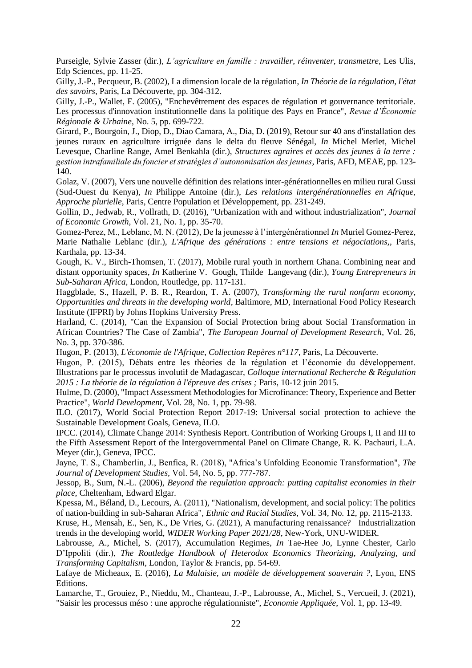Purseigle, Sylvie Zasser (dir.), *L'agriculture en famille : travailler, réinventer, transmettre*, Les Ulis, Edp Sciences, pp. 11-25.

Gilly, J.-P., Pecqueur, B. (2002), La dimension locale de la régulation, *In Théorie de la régulation, l'état des savoirs*, Paris, La Découverte, pp. 304-312.

Gilly, J.-P., Wallet, F. (2005), "Enchevêtrement des espaces de régulation et gouvernance territoriale. Les processus d'innovation institutionnelle dans la politique des Pays en France", *Revue d'Économie Régionale & Urbaine*, No. 5, pp. 699-722.

Girard, P., Bourgoin, J., Diop, D., Diao Camara, A., Dia, D. (2019), Retour sur 40 ans d'installation des jeunes ruraux en agriculture irriguée dans le delta du fleuve Sénégal, *In* Michel Merlet, Michel Levesque, Charline Range, Amel Benkahla (dir.), *Structures agraires et accès des jeunes à la terre : gestion intrafamiliale du foncier et stratégies d'autonomisation des jeunes*, Paris, AFD, MEAE, pp. 123- 140.

Golaz, V. (2007), Vers une nouvelle définition des relations inter-générationnelles en milieu rural Gussi (Sud-Ouest du Kenya), *In* Philippe Antoine (dir.), *Les relations intergénérationnelles en Afrique, Approche plurielle*, Paris, Centre Population et Développement, pp. 231-249.

Gollin, D., Jedwab, R., Vollrath, D. (2016), "Urbanization with and without industrialization", *Journal of Economic Growth*, Vol. 21, No. 1, pp. 35-70.

Gomez-Perez, M., Leblanc, M. N. (2012), De la jeunesse à l'intergénérationnel *In* Muriel Gomez-Perez, Marie Nathalie Leblanc (dir.), *L'Afrique des générations : entre tensions et négociations,*, Paris, Karthala, pp. 13-34.

Gough, K. V., Birch-Thomsen, T. (2017), Mobile rural youth in northern Ghana. Combining near and distant opportunity spaces, *In* Katherine V. Gough, Thilde Langevang (dir.), *Young Entrepreneurs in Sub-Saharan Africa*, London, Routledge, pp. 117-131.

Haggblade, S., Hazell, P. B. R., Reardon, T. A. (2007), *Transforming the rural nonfarm economy, Opportunities and threats in the developing world*, Baltimore, MD, International Food Policy Research Institute (IFPRI) by Johns Hopkins University Press.

Harland, C. (2014), "Can the Expansion of Social Protection bring about Social Transformation in African Countries? The Case of Zambia", *The European Journal of Development Research*, Vol. 26, No. 3, pp. 370-386.

Hugon, P. (2013), *L'économie de l'Afrique*, *Collection Repères n°117*, Paris, La Découverte.

Hugon, P. (2015), Débats entre les théories de la régulation et l'économie du développement. Illustrations par le processus involutif de Madagascar, *Colloque international Recherche & Régulation 2015 : La théorie de la régulation à l'épreuve des crises ;* Paris, 10-12 juin 2015.

Hulme, D. (2000), "Impact Assessment Methodologies for Microfinance: Theory, Experience and Better Practice", *World Development*, Vol. 28, No. 1, pp. 79-98.

ILO. (2017), World Social Protection Report 2017-19: Universal social protection to achieve the Sustainable Development Goals, Geneva, ILO.

IPCC. (2014), Climate Change 2014: Synthesis Report. Contribution of Working Groups I, II and III to the Fifth Assessment Report of the Intergovernmental Panel on Climate Change, R. K. Pachauri, L.A. Meyer (dir.), Geneva, IPCC.

Jayne, T. S., Chamberlin, J., Benfica, R. (2018), "Africa's Unfolding Economic Transformation", *The Journal of Development Studies*, Vol. 54, No. 5, pp. 777-787.

Jessop, B., Sum, N.-L. (2006), *Beyond the regulation approach: putting capitalist economies in their place*, Cheltenham, Edward Elgar.

Kpessa, M., Béland, D., Lecours, A. (2011), "Nationalism, development, and social policy: The politics of nation-building in sub-Saharan Africa", *Ethnic and Racial Studies*, Vol. 34, No. 12, pp. 2115-2133.

Kruse, H., Mensah, E., Sen, K., De Vries, G. (2021), A manufacturing renaissance? Industrialization trends in the developing world, *WIDER Working Paper 2021/28*, New-York, UNU-WIDER.

Labrousse, A., Michel, S. (2017), Accumulation Regimes, *In* Tae-Hee Jo, Lynne Chester, Carlo D'Ippoliti (dir.), *The Routledge Handbook of Heterodox Economics Theorizing, Analyzing, and Transforming Capitalism*, London, Taylor & Francis, pp. 54-69.

Lafaye de Micheaux, E. (2016), *La Malaisie, un modèle de développement souverain ?*, Lyon, ENS Editions.

Lamarche, T., Grouiez, P., Nieddu, M., Chanteau, J.-P., Labrousse, A., Michel, S., Vercueil, J. (2021), "Saisir les processus méso : une approche régulationniste", *Economie Appliquée*, Vol. 1, pp. 13-49.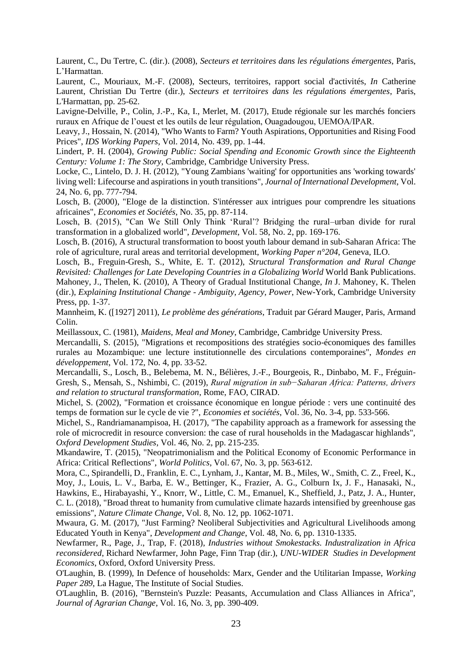Laurent, C., Du Tertre, C. (dir.). (2008), *Secteurs et territoires dans les régulations émergentes*, Paris, L'Harmattan.

Laurent, C., Mouriaux, M.-F. (2008), Secteurs, territoires, rapport social d'activités, *In* Catherine Laurent, Christian Du Tertre (dir.), *Secteurs et territoires dans les régulations émergentes*, Paris, L'Harmattan, pp. 25-62.

Lavigne-Delville, P., Colin, J.-P., Ka, I., Merlet, M. (2017), Etude régionale sur les marchés fonciers ruraux en Afrique de l'ouest et les outils de leur régulation, Ouagadougou, UEMOA/IPAR.

Leavy, J., Hossain, N. (2014), "Who Wants to Farm? Youth Aspirations, Opportunities and Rising Food Prices", *IDS Working Papers*, Vol. 2014, No. 439, pp. 1-44.

Lindert, P. H. (2004), *Growing Public: Social Spending and Economic Growth since the Eighteenth Century: Volume 1: The Story*, Cambridge, Cambridge University Press.

Locke, C., Lintelo, D. J. H. (2012), "Young Zambians 'waiting' for opportunities ans 'working towards' living well: Lifecourse and aspirations in youth transitions", *Journal of International Development*, Vol. 24, No. 6, pp. 777-794.

Losch, B. (2000), "Eloge de la distinction. S'intéresser aux intrigues pour comprendre les situations africaines", *Economies et Sociétés*, No. 35, pp. 87-114.

Losch, B. (2015), "Can We Still Only Think 'Rural'? Bridging the rural–urban divide for rural transformation in a globalized world", *Development*, Vol. 58, No. 2, pp. 169-176.

Losch, B. (2016), A structural transformation to boost youth labour demand in sub-Saharan Africa: The role of agriculture, rural areas and territorial development, *Working Paper n°204*, Geneva, ILO.

Losch, B., Freguin-Gresh, S., White, E. T. (2012), *Structural Transformation and Rural Change Revisited: Challenges for Late Developing Countries in a Globalizing World* World Bank Publications. Mahoney, J., Thelen, K. (2010), A Theory of Gradual Institutional Change, *In* J. Mahoney, K. Thelen (dir.), *Explaining Institutional Change - Ambiguity, Agency, Power*, New-York, Cambridge University Press, pp. 1-37.

Mannheim, K. ([1927] 2011), *Le problème des générations*, Traduit par Gérard Mauger, Paris, Armand Colin.

Meillassoux, C. (1981), *Maidens, Meal and Money*, Cambridge, Cambridge University Press.

Mercandalli, S. (2015), "Migrations et recompositions des stratégies socio-économiques des familles rurales au Mozambique: une lecture institutionnelle des circulations contemporaines", *Mondes en développement*, Vol. 172, No. 4, pp. 33-52.

Mercandalli, S., Losch, B., Belebema, M. N., Bélières, J.-F., Bourgeois, R., Dinbabo, M. F., Fréguin-Gresh, S., Mensah, S., Nshimbi, C. (2019), *Rural migration in sub−Saharan Africa: Patterns, drivers and relation to structural transformation*, Rome, FAO, CIRAD.

Michel, S. (2002), "Formation et croissance économique en longue période : vers une continuité des temps de formation sur le cycle de vie ?", *Economies et sociétés*, Vol. 36, No. 3-4, pp. 533-566.

Michel, S., Randriamanampisoa, H. (2017), "The capability approach as a framework for assessing the role of microcredit in resource conversion: the case of rural households in the Madagascar highlands", *Oxford Development Studies*, Vol. 46, No. 2, pp. 215-235.

Mkandawire, T. (2015), "Neopatrimonialism and the Political Economy of Economic Performance in Africa: Critical Reflections", *World Politics*, Vol. 67, No. 3, pp. 563-612.

Mora, C., Spirandelli, D., Franklin, E. C., Lynham, J., Kantar, M. B., Miles, W., Smith, C. Z., Freel, K., Moy, J., Louis, L. V., Barba, E. W., Bettinger, K., Frazier, A. G., Colburn Ix, J. F., Hanasaki, N., Hawkins, E., Hirabayashi, Y., Knorr, W., Little, C. M., Emanuel, K., Sheffield, J., Patz, J. A., Hunter, C. L. (2018), "Broad threat to humanity from cumulative climate hazards intensified by greenhouse gas emissions", *Nature Climate Change*, Vol. 8, No. 12, pp. 1062-1071.

Mwaura, G. M. (2017), "Just Farming? Neoliberal Subjectivities and Agricultural Livelihoods among Educated Youth in Kenya", *Development and Change*, Vol. 48, No. 6, pp. 1310-1335.

Newfarmer, R., Page, J., Trap, F. (2018), *Industries without Smokestacks. Industralization in Africa reconsidered*, Richard Newfarmer, John Page, Finn Trap (dir.), *UNU-WIDER Studies in Development Economics*, Oxford, Oxford University Press.

O'Laughin, B. (1999), In Defence of households: Marx, Gender and the Utilitarian Impasse, *Working Paper 289*, La Hague, The Institute of Social Studies.

O'Laughlin, B. (2016), "Bernstein's Puzzle: Peasants, Accumulation and Class Alliances in Africa", *Journal of Agrarian Change*, Vol. 16, No. 3, pp. 390-409.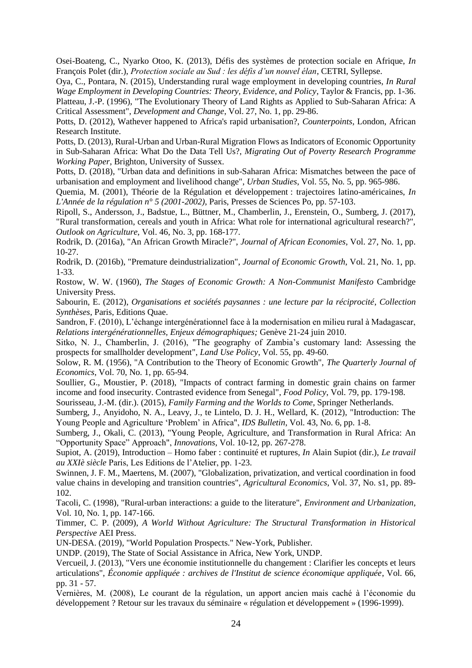Osei-Boateng, C., Nyarko Otoo, K. (2013), Défis des systèmes de protection sociale en Afrique, *In*  François Polet (dir.), *Protection sociale au Sud : les défis d'un nouvel élan*, CETRI, Syllepse.

Oya, C., Pontara, N. (2015), Understanding rural wage employment in developing countries, *In Rural Wage Employment in Developing Countries: Theory, Evidence, and Policy*, Taylor & Francis, pp. 1-36. Platteau, J.-P. (1996), "The Evolutionary Theory of Land Rights as Applied to Sub-Saharan Africa: A Critical Assessment", *Development and Change*, Vol. 27, No. 1, pp. 29-86.

Potts, D. (2012), Wathever happened to Africa's rapid urbanisation?, *Counterpoints*, London, African Research Institute.

Potts, D. (2013), Rural-Urban and Urban-Rural Migration Flows as Indicators of Economic Opportunity in Sub-Saharan Africa: What Do the Data Tell Us?, *Migrating Out of Poverty Research Programme Working Paper*, Brighton, University of Sussex.

Potts, D. (2018), "Urban data and definitions in sub-Saharan Africa: Mismatches between the pace of urbanisation and employment and livelihood change", *Urban Studies*, Vol. 55, No. 5, pp. 965-986.

Quemia, M. (2001), Théorie de la Régulation et développement : trajectoires latino-américaines, *In L'Année de la régulation n° 5 (2001-2002)*, Paris, Presses de Sciences Po, pp. 57-103.

Ripoll, S., Andersson, J., Badstue, L., Büttner, M., Chamberlin, J., Erenstein, O., Sumberg, J. (2017), "Rural transformation, cereals and youth in Africa: What role for international agricultural research?", *Outlook on Agriculture*, Vol. 46, No. 3, pp. 168-177.

Rodrik, D. (2016a), "An African Growth Miracle?", *Journal of African Economies*, Vol. 27, No. 1, pp. 10-27.

Rodrik, D. (2016b), "Premature deindustrialization", *Journal of Economic Growth*, Vol. 21, No. 1, pp. 1-33.

Rostow, W. W. (1960), *The Stages of Economic Growth: A Non-Communist Manifesto* Cambridge University Press.

Sabourin, E. (2012), *Organisations et sociétés paysannes : une lecture par la réciprocité*, *Collection Synthèses*, Paris, Editions Quae.

Sandron, F. (2010), L'échange intergénérationnel face à la modernisation en milieu rural à Madagascar, *Relations intergénérationnelles, Enjeux démographiques;* Genève 21-24 juin 2010.

Sitko, N. J., Chamberlin, J. (2016), "The geography of Zambia's customary land: Assessing the prospects for smallholder development", *Land Use Policy*, Vol. 55, pp. 49-60.

Solow, R. M. (1956), "A Contribution to the Theory of Economic Growth", *The Quarterly Journal of Economics*, Vol. 70, No. 1, pp. 65-94.

Soullier, G., Moustier, P. (2018), "Impacts of contract farming in domestic grain chains on farmer income and food insecurity. Contrasted evidence from Senegal", *Food Policy*, Vol. 79, pp. 179-198.

Sourisseau, J.-M. (dir.). (2015), *Family Farming and the Worlds to Come*, Springer Netherlands.

Sumberg, J., Anyidoho, N. A., Leavy, J., te Lintelo, D. J. H., Wellard, K. (2012), "Introduction: The Young People and Agriculture 'Problem' in Africa", *IDS Bulletin*, Vol. 43, No. 6, pp. 1-8.

Sumberg, J., Okali, C. (2013), "Young People, Agriculture, and Transformation in Rural Africa: An "Opportunity Space" Approach", *Innovations*, Vol. 10-12, pp. 267-278.

Supiot, A. (2019), Introduction – Homo faber : continuité et ruptures, *In* Alain Supiot (dir.), *Le travail au XXIè siècle* Paris, Les Editions de l'Atelier, pp. 1-23.

Swinnen, J. F. M., Maertens, M. (2007), "Globalization, privatization, and vertical coordination in food value chains in developing and transition countries", *Agricultural Economics*, Vol. 37, No. s1, pp. 89- 102.

Tacoli, C. (1998), "Rural-urban interactions: a guide to the literature", *Environment and Urbanization*, Vol. 10, No. 1, pp. 147-166.

Timmer, C. P. (2009), *A World Without Agriculture: The Structural Transformation in Historical Perspective* AEI Press.

UN-DESA. (2019), "World Population Prospects." New-York, Publisher.

UNDP. (2019), The State of Social Assistance in Africa, New York, UNDP.

Vercueil, J. (2013), "Vers une économie institutionnelle du changement : Clarifier les concepts et leurs articulations", *Économie appliquée : archives de l'Institut de science économique appliquée*, Vol. 66, pp. 31 - 57.

Vernières, M. (2008), Le courant de la régulation, un apport ancien mais caché à l'économie du développement ? Retour sur les travaux du séminaire « régulation et développement » (1996-1999).